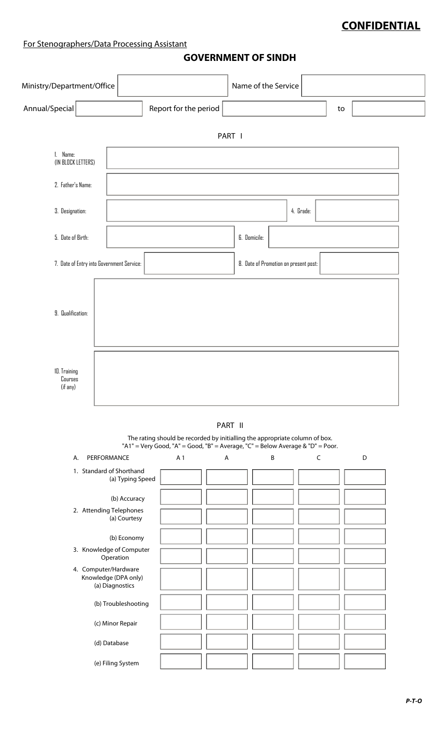### **CONFIDENTIAL**

#### For Stenographers/Data Processing Assistant

#### **GOVERNMENT OF SINDH**

| Ministry/Department/Office                |                                         |                                                                                                                                                               | Name of the Service |                                       |             |             |  |
|-------------------------------------------|-----------------------------------------|---------------------------------------------------------------------------------------------------------------------------------------------------------------|---------------------|---------------------------------------|-------------|-------------|--|
| Annual/Special                            |                                         | Report for the period                                                                                                                                         |                     |                                       | to          |             |  |
|                                           |                                         |                                                                                                                                                               | PART I              |                                       |             |             |  |
| 1. Name:<br>(IN BLOCK LETTERS)            |                                         |                                                                                                                                                               |                     |                                       |             |             |  |
| 2. Father's Name:                         |                                         |                                                                                                                                                               |                     |                                       |             |             |  |
| 3. Designation:                           |                                         |                                                                                                                                                               |                     | 4. Grade:                             |             |             |  |
| 5. Date of Birth:                         |                                         |                                                                                                                                                               | <b>6.</b> Domicile: |                                       |             |             |  |
| 7. Date of Entry into Government Service: |                                         |                                                                                                                                                               |                     | 8. Date of Promotion on present post: |             |             |  |
| 9. Qualification:                         |                                         |                                                                                                                                                               |                     |                                       |             |             |  |
| 10. Training<br>Courses<br>(if any)       |                                         |                                                                                                                                                               |                     |                                       |             |             |  |
|                                           |                                         | The rating should be recorded by initialling the appropriate column of box.<br>"A1" = Very Good, "A" = Good, "B" = Average, "C" = Below Average & "D" = Poor. | PART II             |                                       |             |             |  |
| PERFORMANCE<br>Α.                         |                                         | A 1<br>$\boldsymbol{\mathsf{A}}$                                                                                                                              |                     | $\sf B$                               | $\mathsf C$ | $\mathsf D$ |  |
| 1. Standard of Shorthand                  | (a) Typing Speed                        |                                                                                                                                                               |                     |                                       |             |             |  |
|                                           | (b) Accuracy                            |                                                                                                                                                               |                     |                                       |             |             |  |
| 2. Attending Telephones                   | (a) Courtesy                            |                                                                                                                                                               |                     |                                       |             |             |  |
|                                           | (b) Economy                             |                                                                                                                                                               |                     |                                       |             |             |  |
|                                           | 3. Knowledge of Computer<br>Operation   |                                                                                                                                                               |                     |                                       |             |             |  |
| 4. Computer/Hardware                      | Knowledge (DPA only)<br>(a) Diagnostics |                                                                                                                                                               |                     |                                       |             |             |  |
|                                           | (b) Troubleshooting                     |                                                                                                                                                               |                     |                                       |             |             |  |
|                                           | (c) Minor Repair                        |                                                                                                                                                               |                     |                                       |             |             |  |
|                                           | (d) Database                            |                                                                                                                                                               |                     |                                       |             |             |  |
|                                           | (e) Filing System                       |                                                                                                                                                               |                     |                                       |             |             |  |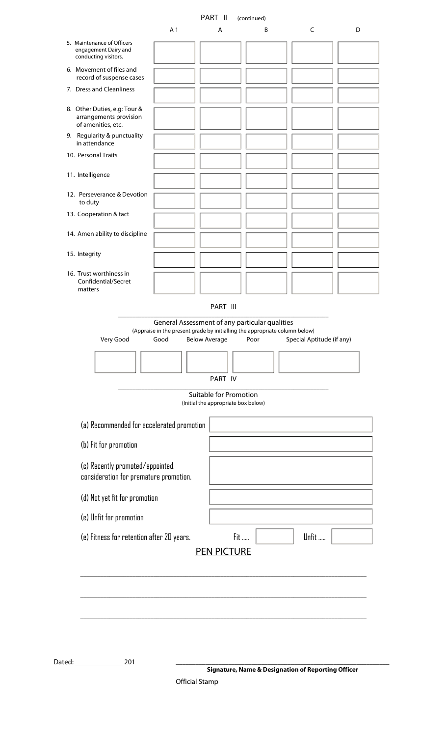| C<br>A <sub>1</sub><br>B<br>D<br>A<br>5. Maintenance of Officers<br>engagement Dairy and<br>conducting visitors.<br>6. Movement of files and<br>record of suspense cases<br>7. Dress and Cleanliness<br>8. Other Duties, e.g: Tour &<br>arrangements provision<br>of amenities, etc.<br>9. Regularity & punctuality<br>in attendance<br>10. Personal Traits<br>11. Intelligence<br>12. Perseverance & Devotion<br>to duty<br>13. Cooperation & tact<br>14. Amen ability to discipline<br>15. Integrity<br>16. Trust worthiness in<br>Confidential/Secret<br>matters<br>PART III<br>General Assessment of any particular qualities<br>(Appraise in the present grade by initialling the appropriate column below)<br>Very Good<br>Good<br>Below Average<br>Special Aptitude (if any)<br>Poor<br>PART IV<br><b>Suitable for Promotion</b><br>(Initial the appropriate box below)<br>(a) Recommended for accelerated promotion<br>(b) Fit for promotion<br>(c) Recently promoted/appointed,<br>consideration for premature promotion.<br>(d) Not yet fit for promotion<br>(e) Unfit for promotion<br>Fit<br>Unfit<br>(e) Fitness for retention after 20 years.<br><b>PEN PICTURE</b> |  | PART II | (continued) |  |
|-----------------------------------------------------------------------------------------------------------------------------------------------------------------------------------------------------------------------------------------------------------------------------------------------------------------------------------------------------------------------------------------------------------------------------------------------------------------------------------------------------------------------------------------------------------------------------------------------------------------------------------------------------------------------------------------------------------------------------------------------------------------------------------------------------------------------------------------------------------------------------------------------------------------------------------------------------------------------------------------------------------------------------------------------------------------------------------------------------------------------------------------------------------------------------------|--|---------|-------------|--|
|                                                                                                                                                                                                                                                                                                                                                                                                                                                                                                                                                                                                                                                                                                                                                                                                                                                                                                                                                                                                                                                                                                                                                                                   |  |         |             |  |
|                                                                                                                                                                                                                                                                                                                                                                                                                                                                                                                                                                                                                                                                                                                                                                                                                                                                                                                                                                                                                                                                                                                                                                                   |  |         |             |  |
|                                                                                                                                                                                                                                                                                                                                                                                                                                                                                                                                                                                                                                                                                                                                                                                                                                                                                                                                                                                                                                                                                                                                                                                   |  |         |             |  |
|                                                                                                                                                                                                                                                                                                                                                                                                                                                                                                                                                                                                                                                                                                                                                                                                                                                                                                                                                                                                                                                                                                                                                                                   |  |         |             |  |
|                                                                                                                                                                                                                                                                                                                                                                                                                                                                                                                                                                                                                                                                                                                                                                                                                                                                                                                                                                                                                                                                                                                                                                                   |  |         |             |  |
|                                                                                                                                                                                                                                                                                                                                                                                                                                                                                                                                                                                                                                                                                                                                                                                                                                                                                                                                                                                                                                                                                                                                                                                   |  |         |             |  |
|                                                                                                                                                                                                                                                                                                                                                                                                                                                                                                                                                                                                                                                                                                                                                                                                                                                                                                                                                                                                                                                                                                                                                                                   |  |         |             |  |
|                                                                                                                                                                                                                                                                                                                                                                                                                                                                                                                                                                                                                                                                                                                                                                                                                                                                                                                                                                                                                                                                                                                                                                                   |  |         |             |  |
|                                                                                                                                                                                                                                                                                                                                                                                                                                                                                                                                                                                                                                                                                                                                                                                                                                                                                                                                                                                                                                                                                                                                                                                   |  |         |             |  |
|                                                                                                                                                                                                                                                                                                                                                                                                                                                                                                                                                                                                                                                                                                                                                                                                                                                                                                                                                                                                                                                                                                                                                                                   |  |         |             |  |
|                                                                                                                                                                                                                                                                                                                                                                                                                                                                                                                                                                                                                                                                                                                                                                                                                                                                                                                                                                                                                                                                                                                                                                                   |  |         |             |  |
|                                                                                                                                                                                                                                                                                                                                                                                                                                                                                                                                                                                                                                                                                                                                                                                                                                                                                                                                                                                                                                                                                                                                                                                   |  |         |             |  |
|                                                                                                                                                                                                                                                                                                                                                                                                                                                                                                                                                                                                                                                                                                                                                                                                                                                                                                                                                                                                                                                                                                                                                                                   |  |         |             |  |
|                                                                                                                                                                                                                                                                                                                                                                                                                                                                                                                                                                                                                                                                                                                                                                                                                                                                                                                                                                                                                                                                                                                                                                                   |  |         |             |  |
|                                                                                                                                                                                                                                                                                                                                                                                                                                                                                                                                                                                                                                                                                                                                                                                                                                                                                                                                                                                                                                                                                                                                                                                   |  |         |             |  |
|                                                                                                                                                                                                                                                                                                                                                                                                                                                                                                                                                                                                                                                                                                                                                                                                                                                                                                                                                                                                                                                                                                                                                                                   |  |         |             |  |
|                                                                                                                                                                                                                                                                                                                                                                                                                                                                                                                                                                                                                                                                                                                                                                                                                                                                                                                                                                                                                                                                                                                                                                                   |  |         |             |  |
|                                                                                                                                                                                                                                                                                                                                                                                                                                                                                                                                                                                                                                                                                                                                                                                                                                                                                                                                                                                                                                                                                                                                                                                   |  |         |             |  |
|                                                                                                                                                                                                                                                                                                                                                                                                                                                                                                                                                                                                                                                                                                                                                                                                                                                                                                                                                                                                                                                                                                                                                                                   |  |         |             |  |
|                                                                                                                                                                                                                                                                                                                                                                                                                                                                                                                                                                                                                                                                                                                                                                                                                                                                                                                                                                                                                                                                                                                                                                                   |  |         |             |  |
|                                                                                                                                                                                                                                                                                                                                                                                                                                                                                                                                                                                                                                                                                                                                                                                                                                                                                                                                                                                                                                                                                                                                                                                   |  |         |             |  |
|                                                                                                                                                                                                                                                                                                                                                                                                                                                                                                                                                                                                                                                                                                                                                                                                                                                                                                                                                                                                                                                                                                                                                                                   |  |         |             |  |
|                                                                                                                                                                                                                                                                                                                                                                                                                                                                                                                                                                                                                                                                                                                                                                                                                                                                                                                                                                                                                                                                                                                                                                                   |  |         |             |  |

Dated: \_\_\_\_\_\_\_\_\_\_\_\_\_ 201 **\_\_\_\_\_\_\_\_\_\_\_\_\_\_\_\_\_\_\_\_\_\_\_\_\_\_\_\_\_\_\_\_\_\_\_\_\_\_\_\_\_\_\_\_\_\_\_\_\_\_\_\_\_\_\_\_\_\_\_\_\_\_\_\_\_** 

**Signature, Name & Designation of Reporting Officer**

Official Stamp